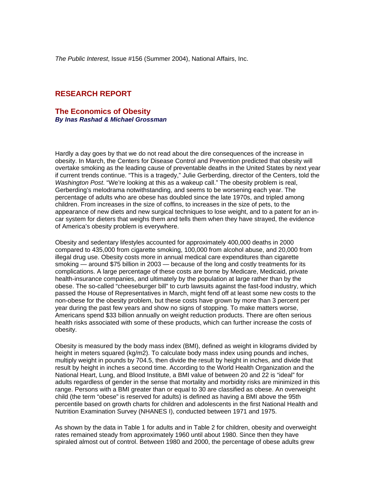*The Public Interest*, Issue #156 (Summer 2004), National Affairs, Inc.

# **RESEARCH REPORT**

#### **The Economics of Obesity** *By Inas Rashad & Michael Grossman*

Hardly a day goes by that we do not read about the dire consequences of the increase in obesity. In March, the Centers for Disease Control and Prevention predicted that obesity will overtake smoking as the leading cause of preventable deaths in the United States by next year if current trends continue. "This is a tragedy," Julie Gerberding, director of the Centers, told the *Washington Post*. "We're looking at this as a wakeup call." The obesity problem is real, Gerberding's melodrama notwithstanding, and seems to be worsening each year. The percentage of adults who are obese has doubled since the late 1970s, and tripled among children. From increases in the size of coffins, to increases in the size of pets, to the appearance of new diets and new surgical techniques to lose weight, and to a patent for an incar system for dieters that weighs them and tells them when they have strayed, the evidence of America's obesity problem is everywhere.

Obesity and sedentary lifestyles accounted for approximately 400,000 deaths in 2000 compared to 435,000 from cigarette smoking, 100,000 from alcohol abuse, and 20,000 from illegal drug use. Obesity costs more in annual medical care expenditures than cigarette smoking — around \$75 billion in 2003 — because of the long and costly treatments for its complications. A large percentage of these costs are borne by Medicare, Medicaid, private health-insurance companies, and ultimately by the population at large rather than by the obese. The so-called "cheeseburger bill" to curb lawsuits against the fast-food industry, which passed the House of Representatives in March, might fend off at least some new costs to the non-obese for the obesity problem, but these costs have grown by more than 3 percent per year during the past few years and show no signs of stopping. To make matters worse, Americans spend \$33 billion annually on weight reduction products. There are often serious health risks associated with some of these products, which can further increase the costs of obesity.

Obesity is measured by the body mass index (BMI), defined as weight in kilograms divided by height in meters squared (kg/m2). To calculate body mass index using pounds and inches, multiply weight in pounds by 704.5, then divide the result by height in inches, and divide that result by height in inches a second time. According to the World Health Organization and the National Heart, Lung, and Blood Institute, a BMI value of between 20 and 22 is "ideal" for adults regardless of gender in the sense that mortality and morbidity risks are minimized in this range. Persons with a BMI greater than or equal to 30 are classified as obese. An overweight child (the term "obese" is reserved for adults) is defined as having a BMI above the 95th percentile based on growth charts for children and adolescents in the first National Health and Nutrition Examination Survey (NHANES I), conducted between 1971 and 1975.

As shown by the data in Table 1 for adults and in Table 2 for children, obesity and overweight rates remained steady from approximately 1960 until about 1980. Since then they have spiraled almost out of control. Between 1980 and 2000, the percentage of obese adults grew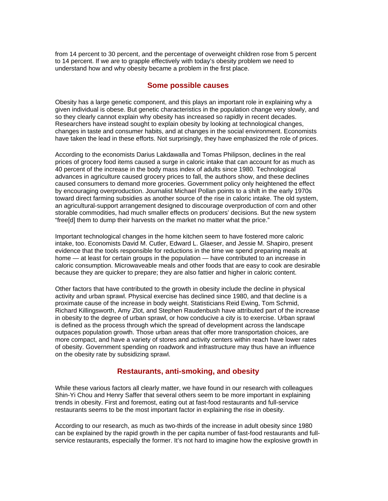from 14 percent to 30 percent, and the percentage of overweight children rose from 5 percent to 14 percent. If we are to grapple effectively with today's obesity problem we need to understand how and why obesity became a problem in the first place.

## **Some possible causes**

Obesity has a large genetic component, and this plays an important role in explaining why a given individual is obese. But genetic characteristics in the population change very slowly, and so they clearly cannot explain why obesity has increased so rapidly in recent decades. Researchers have instead sought to explain obesity by looking at technological changes, changes in taste and consumer habits, and at changes in the social environment. Economists have taken the lead in these efforts. Not surprisingly, they have emphasized the role of prices.

According to the economists Darius Lakdawalla and Tomas Philipson, declines in the real prices of grocery food items caused a surge in caloric intake that can account for as much as 40 percent of the increase in the body mass index of adults since 1980. Technological advances in agriculture caused grocery prices to fall, the authors show, and these declines caused consumers to demand more groceries. Government policy only heightened the effect by encouraging overproduction. Journalist Michael Pollan points to a shift in the early 1970s toward direct farming subsidies as another source of the rise in caloric intake. The old system, an agricultural-support arrangement designed to discourage overproduction of corn and other storable commodities, had much smaller effects on producers' decisions. But the new system "free[d] them to dump their harvests on the market no matter what the price."

Important technological changes in the home kitchen seem to have fostered more caloric intake, too. Economists David M. Cutler, Edward L. Glaeser, and Jessie M. Shapiro, present evidence that the tools responsible for reductions in the time we spend preparing meals at home — at least for certain groups in the population — have contributed to an increase in caloric consumption. Microwaveable meals and other foods that are easy to cook are desirable because they are quicker to prepare; they are also fattier and higher in caloric content.

Other factors that have contributed to the growth in obesity include the decline in physical activity and urban sprawl. Physical exercise has declined since 1980, and that decline is a proximate cause of the increase in body weight. Statisticians Reid Ewing, Tom Schmid, Richard Killingsworth, Amy Zlot, and Stephen Raudenbush have attributed part of the increase in obesity to the degree of urban sprawl, or how conducive a city is to exercise. Urban sprawl is defined as the process through which the spread of development across the landscape outpaces population growth. Those urban areas that offer more transportation choices, are more compact, and have a variety of stores and activity centers within reach have lower rates of obesity. Government spending on roadwork and infrastructure may thus have an influence on the obesity rate by subsidizing sprawl.

## **Restaurants, anti-smoking, and obesity**

While these various factors all clearly matter, we have found in our research with colleagues Shin-Yi Chou and Henry Saffer that several others seem to be more important in explaining trends in obesity. First and foremost, eating out at fast-food restaurants and full-service restaurants seems to be the most important factor in explaining the rise in obesity.

According to our research, as much as two-thirds of the increase in adult obesity since 1980 can be explained by the rapid growth in the per capita number of fast-food restaurants and fullservice restaurants, especially the former. It's not hard to imagine how the explosive growth in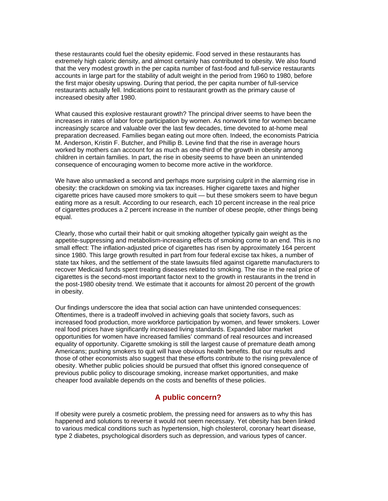these restaurants could fuel the obesity epidemic. Food served in these restaurants has extremely high caloric density, and almost certainly has contributed to obesity. We also found that the very modest growth in the per capita number of fast-food and full-service restaurants accounts in large part for the stability of adult weight in the period from 1960 to 1980, before the first major obesity upswing. During that period, the per capita number of full-service restaurants actually fell. Indications point to restaurant growth as the primary cause of increased obesity after 1980.

What caused this explosive restaurant growth? The principal driver seems to have been the increases in rates of labor force participation by women. As nonwork time for women became increasingly scarce and valuable over the last few decades, time devoted to at-home meal preparation decreased. Families began eating out more often. Indeed, the economists Patricia M. Anderson, Kristin F. Butcher, and Phillip B. Levine find that the rise in average hours worked by mothers can account for as much as one-third of the growth in obesity among children in certain families. In part, the rise in obesity seems to have been an unintended consequence of encouraging women to become more active in the workforce.

We have also unmasked a second and perhaps more surprising culprit in the alarming rise in obesity: the crackdown on smoking via tax increases. Higher cigarette taxes and higher cigarette prices have caused more smokers to quit — but these smokers seem to have begun eating more as a result. According to our research, each 10 percent increase in the real price of cigarettes produces a 2 percent increase in the number of obese people, other things being equal.

Clearly, those who curtail their habit or quit smoking altogether typically gain weight as the appetite-suppressing and metabolism-increasing effects of smoking come to an end. This is no small effect: The inflation-adjusted price of cigarettes has risen by approximately 164 percent since 1980. This large growth resulted in part from four federal excise tax hikes, a number of state tax hikes, and the settlement of the state lawsuits filed against cigarette manufacturers to recover Medicaid funds spent treating diseases related to smoking. The rise in the real price of cigarettes is the second-most important factor next to the growth in restaurants in the trend in the post-1980 obesity trend. We estimate that it accounts for almost 20 percent of the growth in obesity.

Our findings underscore the idea that social action can have unintended consequences: Oftentimes, there is a tradeoff involved in achieving goals that society favors, such as increased food production, more workforce participation by women, and fewer smokers. Lower real food prices have significantly increased living standards. Expanded labor market opportunities for women have increased families' command of real resources and increased equality of opportunity. Cigarette smoking is still the largest cause of premature death among Americans; pushing smokers to quit will have obvious health benefits. But our results and those of other economists also suggest that these efforts contribute to the rising prevalence of obesity. Whether public policies should be pursued that offset this ignored consequence of previous public policy to discourage smoking, increase market opportunities, and make cheaper food available depends on the costs and benefits of these policies.

## **A public concern?**

If obesity were purely a cosmetic problem, the pressing need for answers as to why this has happened and solutions to reverse it would not seem necessary. Yet obesity has been linked to various medical conditions such as hypertension, high cholesterol, coronary heart disease, type 2 diabetes, psychological disorders such as depression, and various types of cancer.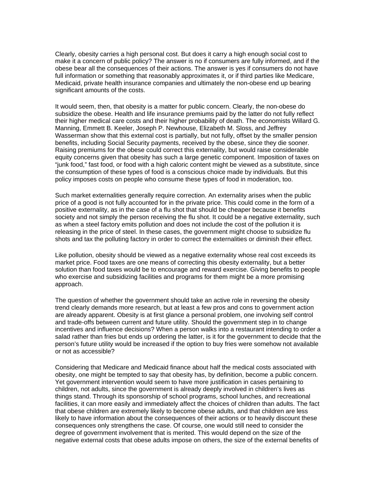Clearly, obesity carries a high personal cost. But does it carry a high enough social cost to make it a concern of public policy? The answer is no if consumers are fully informed, and if the obese bear all the consequences of their actions. The answer is yes if consumers do not have full information or something that reasonably approximates it, or if third parties like Medicare, Medicaid, private health insurance companies and ultimately the non-obese end up bearing significant amounts of the costs.

It would seem, then, that obesity is a matter for public concern. Clearly, the non-obese do subsidize the obese. Health and life insurance premiums paid by the latter do not fully reflect their higher medical care costs and their higher probability of death. The economists Willard G. Manning, Emmett B. Keeler, Joseph P. Newhouse, Elizabeth M. Sloss, and Jeffrey Wasserman show that this external cost is partially, but not fully, offset by the smaller pension benefits, including Social Security payments, received by the obese, since they die sooner. Raising premiums for the obese could correct this externality, but would raise considerable equity concerns given that obesity has such a large genetic component. Imposition of taxes on "junk food," fast food, or food with a high caloric content might be viewed as a substitute, since the consumption of these types of food is a conscious choice made by individuals. But this policy imposes costs on people who consume these types of food in moderation, too.

Such market externalities generally require correction. An externality arises when the public price of a good is not fully accounted for in the private price. This could come in the form of a positive externality, as in the case of a flu shot that should be cheaper because it benefits society and not simply the person receiving the flu shot. It could be a negative externality, such as when a steel factory emits pollution and does not include the cost of the pollution it is releasing in the price of steel. In these cases, the government might choose to subsidize flu shots and tax the polluting factory in order to correct the externalities or diminish their effect.

Like pollution, obesity should be viewed as a negative externality whose real cost exceeds its market price. Food taxes are one means of correcting this obesity externality, but a better solution than food taxes would be to encourage and reward exercise. Giving benefits to people who exercise and subsidizing facilities and programs for them might be a more promising approach.

The question of whether the government should take an active role in reversing the obesity trend clearly demands more research, but at least a few pros and cons to government action are already apparent. Obesity is at first glance a personal problem, one involving self control and trade-offs between current and future utility. Should the government step in to change incentives and influence decisions? When a person walks into a restaurant intending to order a salad rather than fries but ends up ordering the latter, is it for the government to decide that the person's future utility would be increased if the option to buy fries were somehow not available or not as accessible?

Considering that Medicare and Medicaid finance about half the medical costs associated with obesity, one might be tempted to say that obesity has, by definition, become a public concern. Yet government intervention would seem to have more justification in cases pertaining to children, not adults, since the government is already deeply involved in children's lives as things stand. Through its sponsorship of school programs, school lunches, and recreational facilities, it can more easily and immediately affect the choices of children than adults. The fact that obese children are extremely likely to become obese adults, and that children are less likely to have information about the consequences of their actions or to heavily discount these consequences only strengthens the case. Of course, one would still need to consider the degree of government involvement that is merited. This would depend on the size of the negative external costs that obese adults impose on others, the size of the external benefits of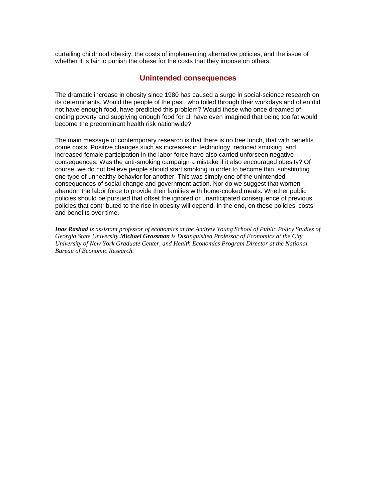curtailing childhood obesity, the costs of implementing alternative policies, and the issue of whether it is fair to punish the obese for the costs that they impose on others.

### **Unintended consequences**

The dramatic increase in obesity since 1980 has caused a surge in social-science research on its determinants. Would the people of the past, who toiled through their workdays and often did not have enough food, have predicted this problem? Would those who once dreamed of ending poverty and supplying enough food for all have even imagined that being too fat would become the predominant health risk nationwide?

The main message of contemporary research is that there is no free lunch, that with benefits come costs. Positive changes such as increases in technology, reduced smoking, and increased female participation in the labor force have also carried unforseen negative consequences. Was the anti-smoking campaign a mistake if it also encouraged obesity? Of course, we do not believe people should start smoking in order to become thin, substituting one type of unhealthy behavior for another. This was simply one of the unintended consequences of social change and government action. Nor do we suggest that women abandon the labor force to provide their families with home-cooked meals. Whether public policies should be pursued that offset the ignored or unanticipated consequence of previous policies that contributed to the rise in obesity will depend, in the end, on these policies' costs and benefits over time.

*Inas Rashad is assistant professor of economics at the Andrew Young School of Public Policy Studies of Georgia State University.Michael Grossman is Distinguished Professor of Economics at the City University of New York Graduate Center, and Health Economics Program Director at the National Bureau of Economic Research.*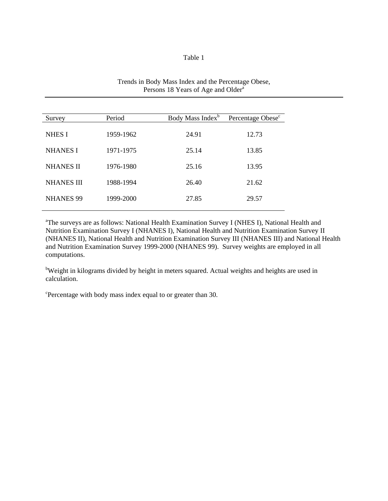#### Table 1

| Survey            | Period    | Body Mass Index <sup>b</sup> | Percentage Obese <sup>c</sup> |
|-------------------|-----------|------------------------------|-------------------------------|
| <b>NHES I</b>     | 1959-1962 | 24.91                        | 12.73                         |
| <b>NHANES I</b>   | 1971-1975 | 25.14                        | 13.85                         |
| <b>NHANES II</b>  | 1976-1980 | 25.16                        | 13.95                         |
| <b>NHANES III</b> | 1988-1994 | 26.40                        | 21.62                         |
| <b>NHANES 99</b>  | 1999-2000 | 27.85                        | 29.57                         |

## Trends in Body Mass Index and the Percentage Obese, Persons 18 Years of Age and Older<sup>a</sup>

<sup>a</sup>The surveys are as follows: National Health Examination Survey I (NHES I), National Health and Nutrition Examination Survey I (NHANES I), National Health and Nutrition Examination Survey II (NHANES II), National Health and Nutrition Examination Survey III (NHANES III) and National Health and Nutrition Examination Survey 1999-2000 (NHANES 99). Survey weights are employed in all computations.

<sup>b</sup>Weight in kilograms divided by height in meters squared. Actual weights and heights are used in calculation.

c Percentage with body mass index equal to or greater than 30.